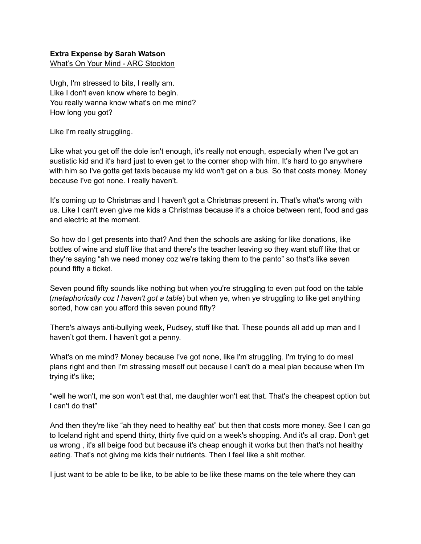## **Extra Expense by Sarah Watson**

What's On Your Mind - ARC Stockton

Urgh, I'm stressed to bits, I really am. Like I don't even know where to begin. You really wanna know what's on me mind? How long you got?

Like I'm really struggling.

Like what you get off the dole isn't enough, it's really not enough, especially when I've got an austistic kid and it's hard just to even get to the corner shop with him. It's hard to go anywhere with him so I've gotta get taxis because my kid won't get on a bus. So that costs money. Money because I've got none. I really haven't.

It's coming up to Christmas and I haven't got a Christmas present in. That's what's wrong with us. Like I can't even give me kids a Christmas because it's a choice between rent, food and gas and electric at the moment.

So how do I get presents into that? And then the schools are asking for like donations, like bottles of wine and stuff like that and there's the teacher leaving so they want stuff like that or they're saying "ah we need money coz we're taking them to the panto" so that's like seven pound fifty a ticket.

Seven pound fifty sounds like nothing but when you're struggling to even put food on the table (*metaphorically coz I haven't got a table*) but when ye, when ye struggling to like get anything sorted, how can you afford this seven pound fifty?

There's always anti-bullying week, Pudsey, stuff like that. These pounds all add up man and I haven't got them. I haven't got a penny.

What's on me mind? Money because I've got none, like I'm struggling. I'm trying to do meal plans right and then I'm stressing meself out because I can't do a meal plan because when I'm trying it's like;

"well he won't, me son won't eat that, me daughter won't eat that. That's the cheapest option but I can't do that"

And then they're like "ah they need to healthy eat" but then that costs more money. See I can go to Iceland right and spend thirty, thirty five quid on a week's shopping. And it's all crap. Don't get us wrong , it's all beige food but because it's cheap enough it works but then that's not healthy eating. That's not giving me kids their nutrients. Then I feel like a shit mother.

I just want to be able to be like, to be able to be like these mams on the tele where they can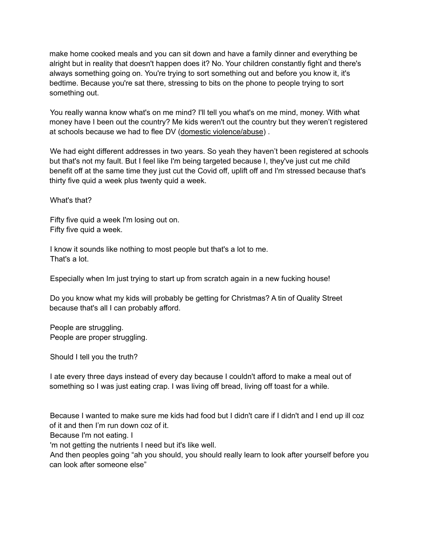make home cooked meals and you can sit down and have a family dinner and everything be alright but in reality that doesn't happen does it? No. Your children constantly fight and there's always something going on. You're trying to sort something out and before you know it, it's bedtime. Because you're sat there, stressing to bits on the phone to people trying to sort something out.

You really wanna know what's on me mind? I'll tell you what's on me mind, money. With what money have I been out the country? Me kids weren't out the country but they weren't registered at schools because we had to flee DV (domestic violence/abuse) .

We had eight different addresses in two years. So yeah they haven't been registered at schools but that's not my fault. But I feel like I'm being targeted because I, they've just cut me child benefit off at the same time they just cut the Covid off, uplift off and I'm stressed because that's thirty five quid a week plus twenty quid a week.

What's that?

Fifty five quid a week I'm losing out on. Fifty five quid a week.

I know it sounds like nothing to most people but that's a lot to me. That's a lot.

Especially when Im just trying to start up from scratch again in a new fucking house!

Do you know what my kids will probably be getting for Christmas? A tin of Quality Street because that's all I can probably afford.

People are struggling. People are proper struggling.

Should I tell you the truth?

I ate every three days instead of every day because I couldn't afford to make a meal out of something so I was just eating crap. I was living off bread, living off toast for a while.

Because I wanted to make sure me kids had food but I didn't care if I didn't and I end up ill coz of it and then I'm run down coz of it.

Because I'm not eating. I

'm not getting the nutrients I need but it's like well.

And then peoples going "ah you should, you should really learn to look after yourself before you can look after someone else"